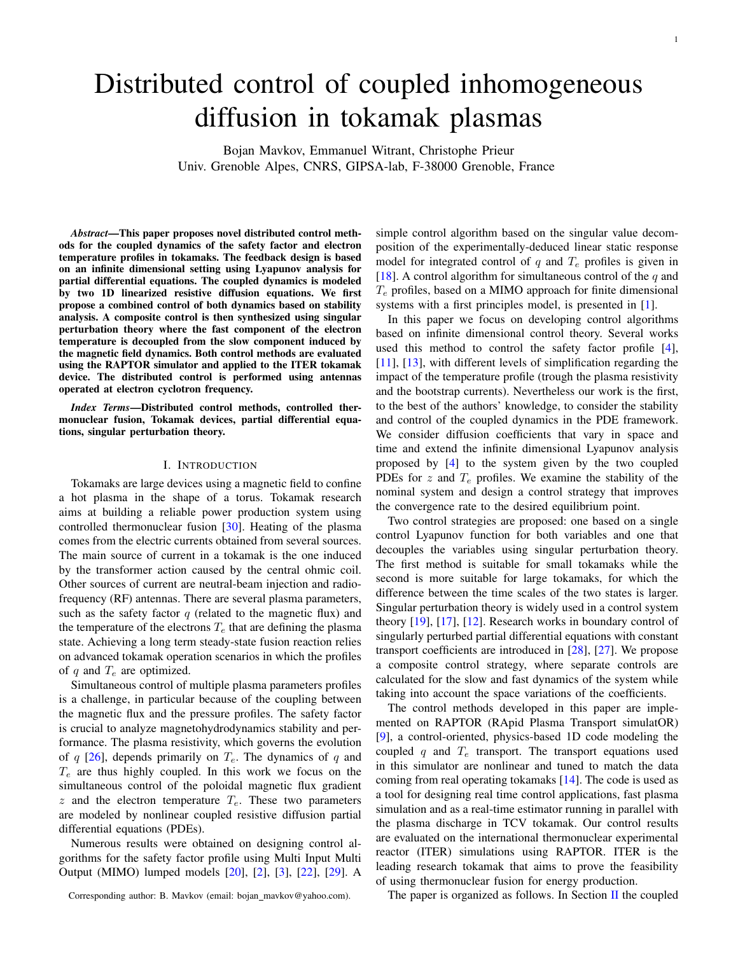# Distributed control of coupled inhomogeneous diffusion in tokamak plasmas

Bojan Mavkov, Emmanuel Witrant, Christophe Prieur Univ. Grenoble Alpes, CNRS, GIPSA-lab, F-38000 Grenoble, France

*Abstract*—This paper proposes novel distributed control methods for the coupled dynamics of the safety factor and electron temperature profiles in tokamaks. The feedback design is based on an infinite dimensional setting using Lyapunov analysis for partial differential equations. The coupled dynamics is modeled by two 1D linearized resistive diffusion equations. We first propose a combined control of both dynamics based on stability analysis. A composite control is then synthesized using singular perturbation theory where the fast component of the electron temperature is decoupled from the slow component induced by the magnetic field dynamics. Both control methods are evaluated using the RAPTOR simulator and applied to the ITER tokamak device. The distributed control is performed using antennas operated at electron cyclotron frequency.

*Index Terms*—Distributed control methods, controlled thermonuclear fusion, Tokamak devices, partial differential equations, singular perturbation theory.

## I. INTRODUCTION

Tokamaks are large devices using a magnetic field to confine a hot plasma in the shape of a torus. Tokamak research aims at building a reliable power production system using controlled thermonuclear fusion [\[30\]](#page-7-0). Heating of the plasma comes from the electric currents obtained from several sources. The main source of current in a tokamak is the one induced by the transformer action caused by the central ohmic coil. Other sources of current are neutral-beam injection and radiofrequency (RF) antennas. There are several plasma parameters, such as the safety factor  $q$  (related to the magnetic flux) and the temperature of the electrons  $T_e$  that are defining the plasma state. Achieving a long term steady-state fusion reaction relies on advanced tokamak operation scenarios in which the profiles of q and  $T_e$  are optimized.

Simultaneous control of multiple plasma parameters profiles is a challenge, in particular because of the coupling between the magnetic flux and the pressure profiles. The safety factor is crucial to analyze magnetohydrodynamics stability and performance. The plasma resistivity, which governs the evolution of q [\[26\]](#page-7-1), depends primarily on  $T_e$ . The dynamics of q and  $T_e$  are thus highly coupled. In this work we focus on the simultaneous control of the poloidal magnetic flux gradient  $z$  and the electron temperature  $T_e$ . These two parameters are modeled by nonlinear coupled resistive diffusion partial differential equations (PDEs).

Numerous results were obtained on designing control algorithms for the safety factor profile using Multi Input Multi Output (MIMO) lumped models [\[20\]](#page-7-2), [\[2\]](#page-7-3), [\[3\]](#page-7-4), [\[22\]](#page-7-5), [\[29\]](#page-7-6). A

Corresponding author: B. Mavkov (email: bojan\_mavkov@yahoo.com).

simple control algorithm based on the singular value decomposition of the experimentally-deduced linear static response model for integrated control of  $q$  and  $T_e$  profiles is given in [\[18\]](#page-7-7). A control algorithm for simultaneous control of the  $q$  and  $T_e$  profiles, based on a MIMO approach for finite dimensional systems with a first principles model, is presented in [\[1\]](#page-7-8).

In this paper we focus on developing control algorithms based on infinite dimensional control theory. Several works used this method to control the safety factor profile [\[4\]](#page-7-9), [\[11\]](#page-7-10), [\[13\]](#page-7-11), with different levels of simplification regarding the impact of the temperature profile (trough the plasma resistivity and the bootstrap currents). Nevertheless our work is the first, to the best of the authors' knowledge, to consider the stability and control of the coupled dynamics in the PDE framework. We consider diffusion coefficients that vary in space and time and extend the infinite dimensional Lyapunov analysis proposed by [\[4\]](#page-7-9) to the system given by the two coupled PDEs for  $z$  and  $T_e$  profiles. We examine the stability of the nominal system and design a control strategy that improves the convergence rate to the desired equilibrium point.

Two control strategies are proposed: one based on a single control Lyapunov function for both variables and one that decouples the variables using singular perturbation theory. The first method is suitable for small tokamaks while the second is more suitable for large tokamaks, for which the difference between the time scales of the two states is larger. Singular perturbation theory is widely used in a control system theory [\[19\]](#page-7-12), [\[17\]](#page-7-13), [\[12\]](#page-7-14). Research works in boundary control of singularly perturbed partial differential equations with constant transport coefficients are introduced in [\[28\]](#page-7-15), [\[27\]](#page-7-16). We propose a composite control strategy, where separate controls are calculated for the slow and fast dynamics of the system while taking into account the space variations of the coefficients.

The control methods developed in this paper are implemented on RAPTOR (RApid Plasma Transport simulatOR) [\[9\]](#page-7-17), a control-oriented, physics-based 1D code modeling the coupled q and  $T_e$  transport. The transport equations used in this simulator are nonlinear and tuned to match the data coming from real operating tokamaks [\[14\]](#page-7-18). The code is used as a tool for designing real time control applications, fast plasma simulation and as a real-time estimator running in parallel with the plasma discharge in TCV tokamak. Our control results are evaluated on the international thermonuclear experimental reactor (ITER) simulations using RAPTOR. ITER is the leading research tokamak that aims to prove the feasibility of using thermonuclear fusion for energy production.

The paper is organized as follows. In Section  $\Pi$  the coupled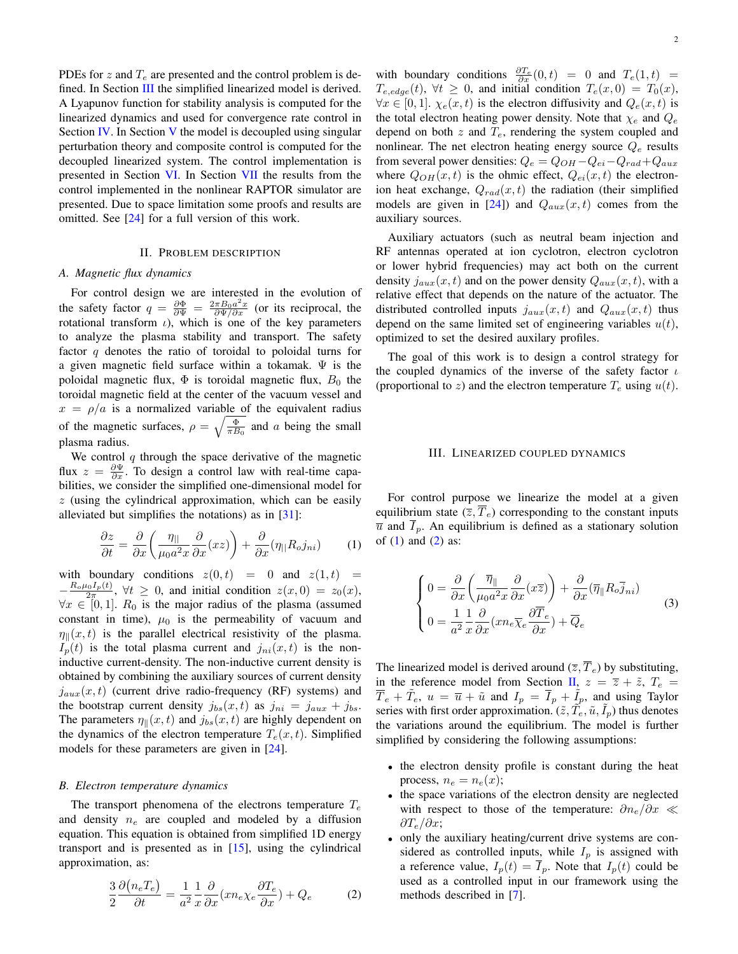PDEs for z and  $T_e$  are presented and the control problem is de-fined. In Section [III](#page-1-1) the simplified linearized model is derived. A Lyapunov function for stability analysis is computed for the linearized dynamics and used for convergence rate control in Section [IV.](#page-2-0) In Section [V](#page-3-0) the model is decoupled using singular perturbation theory and composite control is computed for the decoupled linearized system. The control implementation is presented in Section [VI.](#page-4-0) In Section [VII](#page-5-0) the results from the control implemented in the nonlinear RAPTOR simulator are presented. Due to space limitation some proofs and results are omitted. See [\[24\]](#page-7-19) for a full version of this work.

# II. PROBLEM DESCRIPTION

## <span id="page-1-0"></span>*A. Magnetic flux dynamics*

For control design we are interested in the evolution of the safety factor  $q = \frac{\partial \Phi}{\partial \Psi} = \frac{2\pi B_0 a^2 x}{\partial \Psi / \partial x}$  (or its reciprocal, the rotational transform  $\iota$ ), which is one of the key parameters to analyze the plasma stability and transport. The safety factor  $q$  denotes the ratio of toroidal to poloidal turns for a given magnetic field surface within a tokamak.  $\Psi$  is the poloidal magnetic flux,  $\Phi$  is toroidal magnetic flux,  $B_0$  the toroidal magnetic field at the center of the vacuum vessel and  $x = \rho/a$  is a normalized variable of the equivalent radius of the magnetic surfaces,  $\rho = \sqrt{\frac{\Phi}{\pi B_0}}$  and a being the small plasma radius.

We control  $q$  through the space derivative of the magnetic flux  $z = \frac{\partial \Psi}{\partial x}$ . To design a control law with real-time capabilities, we consider the simplified one-dimensional model for  $z$  (using the cylindrical approximation, which can be easily alleviated but simplifies the notations) as in [\[31\]](#page-7-20):

<span id="page-1-2"></span>
$$
\frac{\partial z}{\partial t} = \frac{\partial}{\partial x} \left( \frac{\eta_{||}}{\mu_0 a^2 x} \frac{\partial}{\partial x} (xz) \right) + \frac{\partial}{\partial x} (\eta_{||} R_o j_{ni}) \tag{1}
$$

with boundary conditions  $z(0, t) = 0$  and  $z(1, t) =$  $-\frac{R_o\mu_0 I_p(t)}{2\pi}$ ,  $\forall t \geq 0$ , and initial condition  $z(x,0) = z_0(x)$ ,  $\forall x \in [0, 1]$ .  $R_0$  is the major radius of the plasma (assumed constant in time),  $\mu_0$  is the permeability of vacuum and  $\eta_{\parallel}(x, t)$  is the parallel electrical resistivity of the plasma.  $I_n(t)$  is the total plasma current and  $j_{ni}(x,t)$  is the noninductive current-density. The non-inductive current density is obtained by combining the auxiliary sources of current density  $j_{aux}(x, t)$  (current drive radio-frequency (RF) systems) and the bootstrap current density  $j_{bs}(x, t)$  as  $j_{ni} = j_{aux} + j_{bs}$ . The parameters  $\eta_{\parallel}(x, t)$  and  $j_{bs}(x, t)$  are highly dependent on the dynamics of the electron temperature  $T_e(x, t)$ . Simplified models for these parameters are given in [\[24\]](#page-7-19).

## *B. Electron temperature dynamics*

The transport phenomena of the electrons temperature  $T_e$ and density  $n_e$  are coupled and modeled by a diffusion equation. This equation is obtained from simplified 1D energy transport and is presented as in [\[15\]](#page-7-21), using the cylindrical approximation, as:

<span id="page-1-3"></span>
$$
\frac{3}{2}\frac{\partial (n_e T_e)}{\partial t} = \frac{1}{a^2} \frac{1}{x} \frac{\partial}{\partial x} (x n_e \chi_e \frac{\partial T_e}{\partial x}) + Q_e \tag{2}
$$

with boundary conditions  $\frac{\partial T_e}{\partial x}(0,t) = 0$  and  $T_e(1,t) =$  $T_{e,edge}(t)$ ,  $\forall t \geq 0$ , and initial condition  $T_e(x, 0) = T_0(x)$ ,  $\forall x \in [0,1]$ .  $\chi_e(x,t)$  is the electron diffusivity and  $Q_e(x,t)$  is the total electron heating power density. Note that  $\chi_e$  and  $Q_e$ depend on both  $z$  and  $T_e$ , rendering the system coupled and nonlinear. The net electron heating energy source  $Q_e$  results from several power densities:  $Q_e = Q_{OH} - Q_{ei} - Q_{rad} + Q_{aux}$ where  $Q_{OH}(x, t)$  is the ohmic effect,  $Q_{ei}(x, t)$  the electronion heat exchange,  $Q_{rad}(x, t)$  the radiation (their simplified models are given in [\[24\]](#page-7-19)) and  $Q_{aux}(x, t)$  comes from the auxiliary sources.

Auxiliary actuators (such as neutral beam injection and RF antennas operated at ion cyclotron, electron cyclotron or lower hybrid frequencies) may act both on the current density  $j_{aux}(x, t)$  and on the power density  $Q_{aux}(x, t)$ , with a relative effect that depends on the nature of the actuator. The distributed controlled inputs  $j_{aux}(x, t)$  and  $Q_{aux}(x, t)$  thus depend on the same limited set of engineering variables  $u(t)$ , optimized to set the desired auxilary profiles.

The goal of this work is to design a control strategy for the coupled dynamics of the inverse of the safety factor  $\iota$ (proportional to z) and the electron temperature  $T_e$  using  $u(t)$ .

#### III. LINEARIZED COUPLED DYNAMICS

<span id="page-1-1"></span>For control purpose we linearize the model at a given equilibrium state  $(\overline{z}, \overline{T}_e)$  corresponding to the constant inputs  $\overline{u}$  and  $\overline{I}_p$ . An equilibrium is defined as a stationary solution of  $(1)$  and  $(2)$  as:

$$
\begin{cases}\n0 = \frac{\partial}{\partial x} \left( \frac{\overline{\eta}_{\parallel}}{\mu_0 a^2 x} \frac{\partial}{\partial x} (x \overline{z}) \right) + \frac{\partial}{\partial x} (\overline{\eta}_{\parallel} R_o \overline{j}_{ni}) \\
0 = \frac{1}{a^2} \frac{1}{x} \frac{\partial}{\partial x} (x n_e \overline{\chi}_e \frac{\partial \overline{T}_e}{\partial x}) + \overline{Q}_e\n\end{cases}
$$
\n(3)

The linearized model is derived around  $(\overline{z}, \overline{T}_e)$  by substituting, in the reference model from Section [II,](#page-1-0)  $z = \overline{z} + \tilde{z}$ ,  $T_e$  $\overline{T}_e + \tilde{T}_e$ ,  $u = \overline{u} + \tilde{u}$  and  $I_p = \overline{I}_p + \tilde{I}_p$ , and using Taylor series with first order approximation.  $(\tilde{z}, \tilde{T}_e, \tilde{u}, \tilde{I}_p)$  thus denotes the variations around the equilibrium. The model is further simplified by considering the following assumptions:

- the electron density profile is constant during the heat process,  $n_e = n_e(x)$ ;
- the space variations of the electron density are neglected with respect to those of the temperature:  $\partial n_e / \partial x \ll$  $\partial T_e/\partial x$ ;
- only the auxiliary heating/current drive systems are considered as controlled inputs, while  $I_p$  is assigned with a reference value,  $I_p(t) = I_p$ . Note that  $I_p(t)$  could be used as a controlled input in our framework using the methods described in [\[7\]](#page-7-22).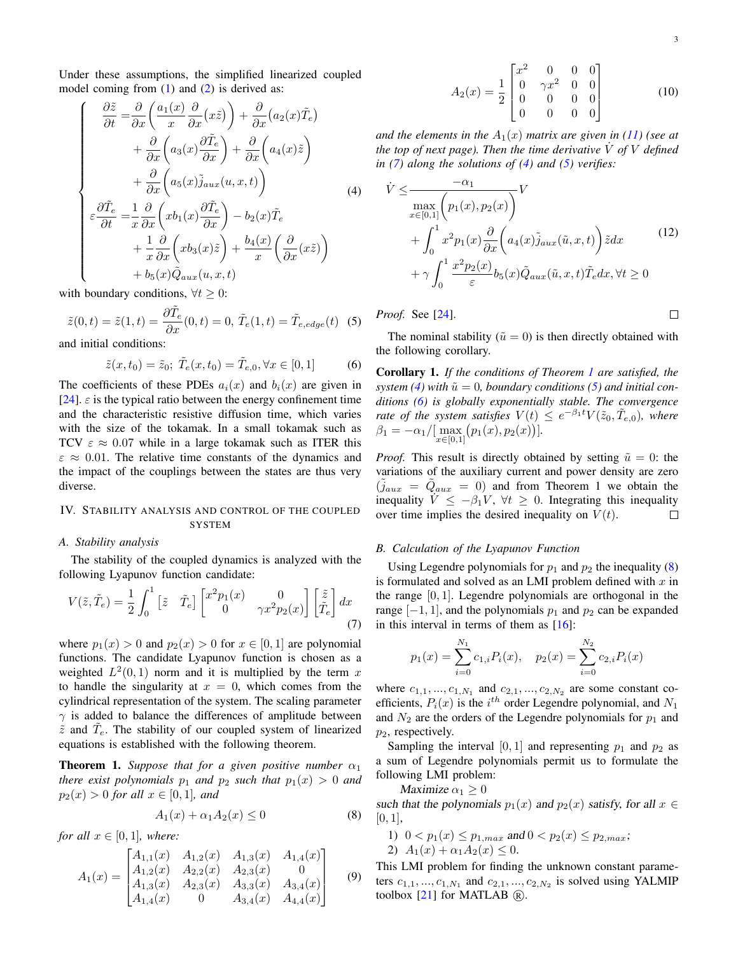Under these assumptions, the simplified linearized coupled model coming from  $(1)$  and  $(2)$  is derived as:

<span id="page-2-2"></span>
$$
\begin{cases}\n\frac{\partial \tilde{z}}{\partial t} = \frac{\partial}{\partial x} \left( \frac{a_1(x)}{x} \frac{\partial}{\partial x} (x \tilde{z}) \right) + \frac{\partial}{\partial x} (a_2(x) \tilde{T}_e) \\
+ \frac{\partial}{\partial x} \left( a_3(x) \frac{\partial \tilde{T}_e}{\partial x} \right) + \frac{\partial}{\partial x} \left( a_4(x) \tilde{z} \right) \\
+ \frac{\partial}{\partial x} \left( a_5(x) \tilde{j}_{aux}(u, x, t) \right) \\
\epsilon \frac{\partial \tilde{T}_e}{\partial t} = \frac{1}{x} \frac{\partial}{\partial x} \left( x b_1(x) \frac{\partial \tilde{T}_e}{\partial x} \right) - b_2(x) \tilde{T}_e \\
+ \frac{1}{x} \frac{\partial}{\partial x} \left( x b_3(x) \tilde{z} \right) + \frac{b_4(x)}{x} \left( \frac{\partial}{\partial x} (x \tilde{z}) \right) \\
+ b_5(x) \tilde{Q}_{aux}(u, x, t)\n\end{cases}
$$
\n(4)

with boundary conditions,  $\forall t \geq 0$ :

<span id="page-2-3"></span>
$$
\tilde{z}(0,t) = \tilde{z}(1,t) = \frac{\partial \tilde{T}_e}{\partial x}(0,t) = 0, \ \tilde{T}_e(1,t) = \tilde{T}_{e,edge}(t) \tag{5}
$$

and initial conditions:

<span id="page-2-5"></span>
$$
\tilde{z}(x, t_0) = \tilde{z}_0; \ \tilde{T}_e(x, t_0) = \tilde{T}_{e,0}, \forall x \in [0, 1]
$$
 (6)

The coefficients of these PDEs  $a_i(x)$  and  $b_i(x)$  are given in [\[24\]](#page-7-19).  $\varepsilon$  is the typical ratio between the energy confinement time and the characteristic resistive diffusion time, which varies with the size of the tokamak. In a small tokamak such as TCV  $\varepsilon \approx 0.07$  while in a large tokamak such as ITER this  $\varepsilon \approx 0.01$ . The relative time constants of the dynamics and the impact of the couplings between the states are thus very diverse.

## <span id="page-2-0"></span>IV. STABILITY ANALYSIS AND CONTROL OF THE COUPLED SYSTEM

#### *A. Stability analysis*

The stability of the coupled dynamics is analyzed with the following Lyapunov function candidate:

<span id="page-2-1"></span>
$$
V(\tilde{z}, \tilde{T}_e) = \frac{1}{2} \int_0^1 \begin{bmatrix} \tilde{z} & \tilde{T}_e \end{bmatrix} \begin{bmatrix} x^2 p_1(x) & 0\\ 0 & \gamma x^2 p_2(x) \end{bmatrix} \begin{bmatrix} \tilde{z} \\ \tilde{T}_e \end{bmatrix} dx
$$
(7)

where  $p_1(x) > 0$  and  $p_2(x) > 0$  for  $x \in [0, 1]$  are polynomial functions. The candidate Lyapunov function is chosen as a weighted  $L^2(0,1)$  norm and it is multiplied by the term x to handle the singularity at  $x = 0$ , which comes from the cylindrical representation of the system. The scaling parameter  $\gamma$  is added to balance the differences of amplitude between  $\tilde{z}$  and  $\tilde{T}_e$ . The stability of our coupled system of linearized equations is established with the following theorem.

<span id="page-2-4"></span>**Theorem 1.** Suppose that for a given positive number  $\alpha_1$ *there exist polynomials*  $p_1$  *and*  $p_2$  *such that*  $p_1(x) > 0$  *and*  $p_2(x) > 0$  *for all*  $x \in [0, 1]$ *, and* 

<span id="page-2-6"></span>
$$
A_1(x) + \alpha_1 A_2(x) \le 0 \tag{8}
$$

*for all*  $x \in [0, 1]$ *, where:* 

$$
A_1(x) = \begin{bmatrix} A_{1,1}(x) & A_{1,2}(x) & A_{1,3}(x) & A_{1,4}(x) \\ A_{1,2}(x) & A_{2,2}(x) & A_{2,3}(x) & 0 \\ A_{1,3}(x) & A_{2,3}(x) & A_{3,3}(x) & A_{3,4}(x) \\ A_{1,4}(x) & 0 & A_{3,4}(x) & A_{4,4}(x) \end{bmatrix}
$$
(9)

$$
A_2(x) = \frac{1}{2} \begin{bmatrix} x^2 & 0 & 0 & 0 \\ 0 & \gamma x^2 & 0 & 0 \\ 0 & 0 & 0 & 0 \\ 0 & 0 & 0 & 0 \end{bmatrix}
$$
 (10)

*and the elements in the*  $A_1(x)$  *matrix are given in* [\(11\)](#page-3-1) (see at *the top of next page). Then the time derivative*  $\dot{V}$  *of*  $V$  *defined in [\(7\)](#page-2-1) along the solutions of [\(4\)](#page-2-2) and [\(5\)](#page-2-3) verifies:*

$$
\dot{V} \leq \frac{-\alpha_1}{\max\limits_{x \in [0,1]} \left(p_1(x), p_2(x)\right)} V \n+ \int_0^1 x^2 p_1(x) \frac{\partial}{\partial x} \left(a_4(x) \tilde{j}_{aux}(\tilde{u}, x, t)\right) \tilde{z} dx \n+ \gamma \int_0^1 \frac{x^2 p_2(x)}{\varepsilon} b_5(x) \tilde{Q}_{aux}(\tilde{u}, x, t) \tilde{T}_e dx, \forall t \geq 0
$$
\n(12)

*Proof.* See [\[24\]](#page-7-19).

$$
\qquad \qquad \Box
$$

The nominal stability ( $\tilde{u} = 0$ ) is then directly obtained with the following corollary.

Corollary 1. *If the conditions of Theorem [1](#page-2-4) are satisfied, the system [\(4\)](#page-2-2)* with  $\tilde{u} = 0$ , boundary conditions [\(5\)](#page-2-3) and initial con*ditions [\(6\)](#page-2-5) is globally exponentially stable. The convergence rate of the system satisfies*  $V(t) \leq e^{-\beta_1 t} V(\tilde{z}_0, \tilde{T}_{e,0})$ , where  $\beta_1 = -\alpha_1 / [\max_{x \in [0,1]} (p_1(x), p_2(x))].$ 

*Proof.* This result is directly obtained by setting  $\tilde{u} = 0$ : the variations of the auxiliary current and power density are zero  $(\tilde{j}_{aux} = \tilde{Q}_{aux} = 0)$  and from Theorem 1 we obtain the inequality  $\dot{V} \leq -\beta_1 V$ ,  $\forall t \geq 0$ . Integrating this inequality over time implies the desired inequality on  $V(t)$ .  $\Box$ 

## <span id="page-2-7"></span>*B. Calculation of the Lyapunov Function*

Using Legendre polynomials for  $p_1$  and  $p_2$  the inequality [\(8\)](#page-2-6) is formulated and solved as an LMI problem defined with  $x$  in the range [0, 1]. Legendre polynomials are orthogonal in the range  $[-1, 1]$ , and the polynomials  $p_1$  and  $p_2$  can be expanded in this interval in terms of them as  $[16]$ :

$$
p_1(x) = \sum_{i=0}^{N_1} c_{1,i} P_i(x), \quad p_2(x) = \sum_{i=0}^{N_2} c_{2,i} P_i(x)
$$

where  $c_{1,1},...,c_{1,N_1}$  and  $c_{2,1},...,c_{2,N_2}$  are some constant coefficients,  $P_i(x)$  is the  $i^{th}$  order Legendre polynomial, and  $N_1$ and  $N_2$  are the orders of the Legendre polynomials for  $p_1$  and  $p_2$ , respectively.

Sampling the interval [0, 1] and representing  $p_1$  and  $p_2$  as a sum of Legendre polynomials permit us to formulate the following LMI problem:

Maximize  $\alpha_1 \geq 0$ 

such that the polynomials  $p_1(x)$  and  $p_2(x)$  satisfy, for all  $x \in$  $[0, 1]$ ,

1) 
$$
0 < p_1(x) \le p_{1,max}
$$
 and  $0 < p_2(x) \le p_{2,max}$ ;  
2)  $A_1(x) + \alpha_1 A_2(x) \le 0$ .

This LMI problem for finding the unknown constant parameters  $c_{1,1},...,c_{1,N_1}$  and  $c_{2,1},...,c_{2,N_2}$  is solved using YALMIP toolbox  $[21]$  for MATLAB  $\circledR$ .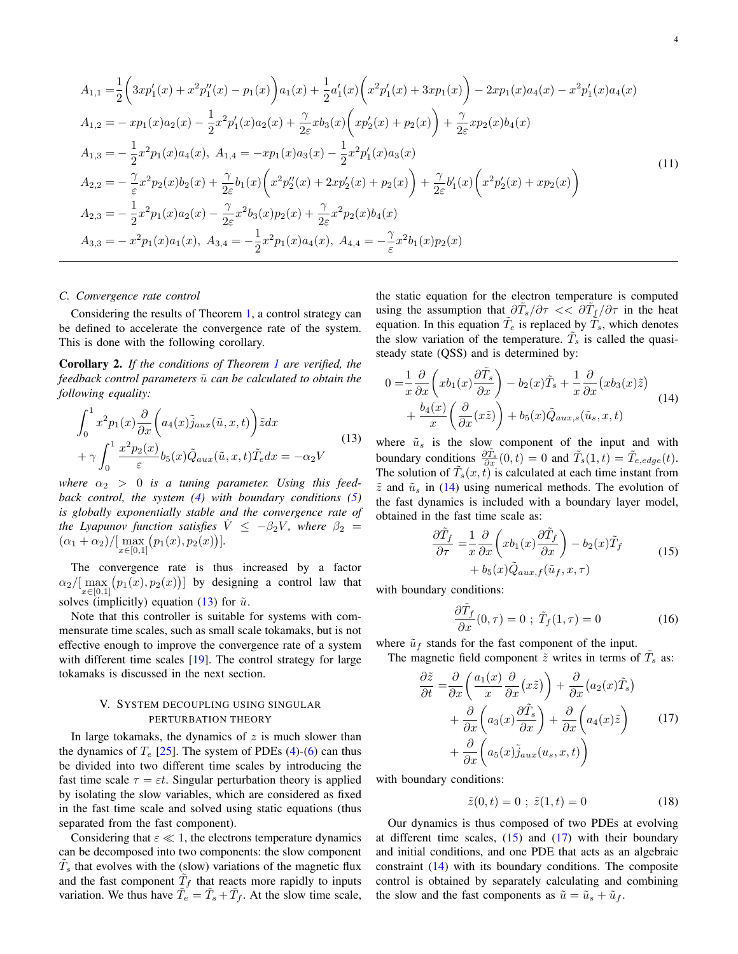<span id="page-3-1"></span>
$$
A_{1,1} = \frac{1}{2} \left( 3xp_1'(x) + x^2p_1''(x) - p_1(x) \right) a_1(x) + \frac{1}{2} a_1'(x) \left( x^2p_1'(x) + 3xp_1(x) \right) - 2xp_1(x)a_4(x) - x^2p_1'(x)a_4(x)
$$
  
\n
$$
A_{1,2} = -xp_1(x)a_2(x) - \frac{1}{2}x^2p_1'(x)a_2(x) + \frac{\gamma}{2\varepsilon}xb_3(x) \left( xp_2'(x) + p_2(x) \right) + \frac{\gamma}{2\varepsilon}xp_2(x)b_4(x)
$$
  
\n
$$
A_{1,3} = -\frac{1}{2}x^2p_1(x)a_4(x), A_{1,4} = -xp_1(x)a_3(x) - \frac{1}{2}x^2p_1'(x)a_3(x)
$$
  
\n
$$
A_{2,2} = -\frac{\gamma}{\varepsilon}x^2p_2(x)b_2(x) + \frac{\gamma}{2\varepsilon}b_1(x) \left( x^2p_2''(x) + 2xp_2'(x) + p_2(x) \right) + \frac{\gamma}{2\varepsilon}b_1'(x) \left( x^2p_2'(x) + xp_2(x) \right)
$$
  
\n
$$
A_{2,3} = -\frac{1}{2}x^2p_1(x)a_2(x) - \frac{\gamma}{2\varepsilon}x^2b_3(x)p_2(x) + \frac{\gamma}{2\varepsilon}x^2p_2(x)b_4(x)
$$
  
\n
$$
A_{3,3} = -x^2p_1(x)a_1(x), A_{3,4} = -\frac{1}{2}x^2p_1(x)a_4(x), A_{4,4} = -\frac{\gamma}{\varepsilon}x^2b_1(x)p_2(x)
$$
\n(11)

## *C. Convergence rate control*

Considering the results of Theorem [1,](#page-2-4) a control strategy can be defined to accelerate the convergence rate of the system. This is done with the following corollary.

<span id="page-3-8"></span>Corollary 2. *If the conditions of Theorem [1](#page-2-4) are verified, the feedback control parameters*  $\tilde{u}$  *can be calculated to obtain the following equality:*

<span id="page-3-2"></span>
$$
\int_{0}^{1} x^{2} p_{1}(x) \frac{\partial}{\partial x} \left( a_{4}(x) \tilde{j}_{aux}(\tilde{u}, x, t) \right) \tilde{z} dx \n+ \gamma \int_{0}^{1} \frac{x^{2} p_{2}(x)}{\varepsilon} b_{5}(x) \tilde{Q}_{aux}(\tilde{u}, x, t) \tilde{T}_{e} dx = -\alpha_{2} V
$$
\n(13)

where  $\alpha_2 > 0$  is a tuning parameter. Using this feed*back control, the system [\(4\)](#page-2-2) with boundary conditions [\(5\)](#page-2-3) is globally exponentially stable and the convergence rate of the Lyapunov function satisfies*  $\dot{V} \le -\beta_2 V$ *, where*  $\beta_2 =$  $(\alpha_1 + \alpha_2) / [\max_{x \in [0,1]} (p_1(x), p_2(x))].$ 

The convergence rate is thus increased by a factor  $\alpha_2/[\max_{x\in[0,1]} (p_1(x), p_2(x))]$  by designing a control law that solves (implicitly) equation [\(13\)](#page-3-2) for  $\tilde{u}$ .

Note that this controller is suitable for systems with commensurate time scales, such as small scale tokamaks, but is not effective enough to improve the convergence rate of a system with different time scales  $[19]$ . The control strategy for large tokamaks is discussed in the next section.

# V. SYSTEM DECOUPLING USING SINGULAR PERTURBATION THEORY

<span id="page-3-0"></span>In large tokamaks, the dynamics of  $z$  is much slower than the dynamics of  $T_e$  [\[25\]](#page-7-25). The system of PDEs [\(4\)](#page-2-2)-[\(6\)](#page-2-5) can thus be divided into two different time scales by introducing the fast time scale  $\tau = \varepsilon t$ . Singular perturbation theory is applied by isolating the slow variables, which are considered as fixed in the fast time scale and solved using static equations (thus separated from the fast component).

Considering that  $\varepsilon \ll 1$ , the electrons temperature dynamics can be decomposed into two components: the slow component  $\tilde{T}_s$  that evolves with the (slow) variations of the magnetic flux and the fast component  $\tilde{T}_f$  that reacts more rapidly to inputs variation. We thus have  $\tilde{T}_e = \tilde{T}_s + \tilde{T}_f$ . At the slow time scale, the static equation for the electron temperature is computed using the assumption that  $\frac{\partial \tilde{T}_s}{\partial \tau} << \frac{\partial \tilde{T}_f}{\partial \tau}$  in the heat equation. In this equation  $\tilde{T}_e$  is replaced by  $\tilde{T}_s$ , which denotes the slow variation of the temperature.  $\tilde{T}_s$  is called the quasisteady state (QSS) and is determined by:

<span id="page-3-3"></span>
$$
0 = \frac{1}{x} \frac{\partial}{\partial x} \left( x b_1(x) \frac{\partial \tilde{T}_s}{\partial x} \right) - b_2(x) \tilde{T}_s + \frac{1}{x} \frac{\partial}{\partial x} \left( x b_3(x) \tilde{z} \right) + \frac{b_4(x)}{x} \left( \frac{\partial}{\partial x} (x \tilde{z}) \right) + b_5(x) \tilde{Q}_{aux,s}(\tilde{u}_s, x, t)
$$
(14)

where  $\tilde{u}_s$  is the slow component of the input and with boundary conditions  $\frac{\partial \tilde{T}_s}{\partial x}(0,t) = 0$  and  $\tilde{T}_s(1,t) = \tilde{T}_{e,edge}(t)$ . The solution of  $\tilde{T}_s(x,t)$  is calculated at each time instant from  $\tilde{z}$  and  $\tilde{u}_s$  in [\(14\)](#page-3-3) using numerical methods. The evolution of the fast dynamics is included with a boundary layer model, obtained in the fast time scale as:

$$
\frac{\partial \tilde{T}_f}{\partial \tau} = \frac{1}{x} \frac{\partial}{\partial x} \left( x b_1(x) \frac{\partial \tilde{T}_f}{\partial x} \right) - b_2(x) \tilde{T}_f
$$
  
+  $b_5(x) \tilde{Q}_{aux,f}(\tilde{u}_f, x, \tau)$  (15)

<span id="page-3-4"></span>with boundary conditions:

<span id="page-3-7"></span>
$$
\frac{\partial \tilde{T}_f}{\partial x}(0,\tau) = 0 \; ; \; \tilde{T}_f(1,\tau) = 0 \tag{16}
$$

where  $\tilde{u}_f$  stands for the fast component of the input.

The magnetic field component 
$$
\tilde{z}
$$
 writes in terms of  $\tilde{T}_s$  as:

<span id="page-3-5"></span>
$$
\frac{\partial \tilde{z}}{\partial t} = \frac{\partial}{\partial x} \left( \frac{a_1(x)}{x} \frac{\partial}{\partial x} (x\tilde{z}) \right) + \frac{\partial}{\partial x} (a_2(x)\tilde{T}_s) \n+ \frac{\partial}{\partial x} \left( a_3(x) \frac{\partial \tilde{T}_s}{\partial x} \right) + \frac{\partial}{\partial x} \left( a_4(x)\tilde{z} \right) \n+ \frac{\partial}{\partial x} \left( a_5(x)\tilde{j}_{aux}(u_s, x, t) \right)
$$
\n(17)

with boundary conditions:

<span id="page-3-6"></span>
$$
\tilde{z}(0,t) = 0 \; ; \; \tilde{z}(1,t) = 0 \tag{18}
$$

Our dynamics is thus composed of two PDEs at evolving at different time scales,  $(15)$  and  $(17)$  with their boundary and initial conditions, and one PDE that acts as an algebraic constraint [\(14\)](#page-3-3) with its boundary conditions. The composite control is obtained by separately calculating and combining the slow and the fast components as  $\tilde{u} = \tilde{u}_s + \tilde{u}_f$ .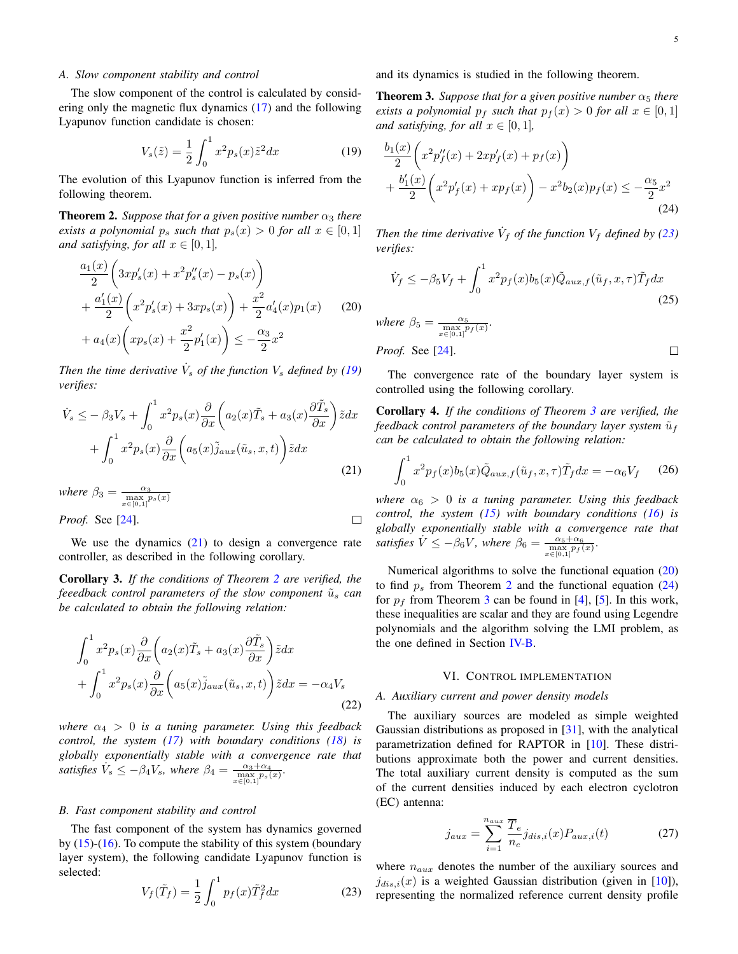$\Box$ 

## *A. Slow component stability and control*

The slow component of the control is calculated by considering only the magnetic flux dynamics [\(17\)](#page-3-5) and the following Lyapunov function candidate is chosen:

<span id="page-4-1"></span>
$$
V_s(\tilde{z}) = \frac{1}{2} \int_0^1 x^2 p_s(x) \tilde{z}^2 dx
$$
 (19)

The evolution of this Lyapunov function is inferred from the following theorem.

<span id="page-4-3"></span>**Theorem 2.** *Suppose that for a given positive number*  $\alpha_3$  *there exists a polynomial*  $p_s$  *such that*  $p_s(x) > 0$  *for all*  $x \in [0,1]$ *and satisfying, for all*  $x \in [0, 1]$ *,* 

<span id="page-4-6"></span>
$$
\frac{a_1(x)}{2} \left( 3xp'_s(x) + x^2p''_s(x) - p_s(x) \right) \n+ \frac{a'_1(x)}{2} \left( x^2p'_s(x) + 3xp_s(x) \right) + \frac{x^2}{2}a'_4(x)p_1(x) \tag{20} \n+ a_4(x) \left( xp_s(x) + \frac{x^2}{2}p'_1(x) \right) \le -\frac{\alpha_3}{2}x^2
$$

*Then the time derivative*  $\dot{V}_s$  *of the function*  $V_s$  *defined by [\(19\)](#page-4-1) verifies:*

<span id="page-4-2"></span>
$$
\dot{V}_s \leq -\beta_3 V_s + \int_0^1 x^2 p_s(x) \frac{\partial}{\partial x} \left( a_2(x) \tilde{T}_s + a_3(x) \frac{\partial \tilde{T}_s}{\partial x} \right) \tilde{z} dx \n+ \int_0^1 x^2 p_s(x) \frac{\partial}{\partial x} \left( a_5(x) \tilde{j}_{aux}(\tilde{u}_s, x, t) \right) \tilde{z} dx
$$
\n(21)

where 
$$
\beta_3 = \frac{\alpha_3}{\max\limits_{x \in [0,1]} p_s(x)}
$$
  
Proof. See [24].

We use the dynamics  $(21)$  to design a convergence rate controller, as described in the following corollary.

Corollary 3. *If the conditions of Theorem [2](#page-4-3) are verified, the feeedback control parameters of the slow component*  $\tilde{u}_s$  *can be calculated to obtain the following relation:*

<span id="page-4-8"></span>
$$
\int_0^1 x^2 p_s(x) \frac{\partial}{\partial x} \left( a_2(x) \tilde{T}_s + a_3(x) \frac{\partial \tilde{T}_s}{\partial x} \right) \tilde{z} dx + \int_0^1 x^2 p_s(x) \frac{\partial}{\partial x} \left( a_5(x) \tilde{j}_{aux}(\tilde{u}_s, x, t) \right) \tilde{z} dx = -\alpha_4 V_s
$$
\n(22)

*where*  $\alpha_4 > 0$  *is a tuning parameter. Using this feedback control, the system [\(17\)](#page-3-5) with boundary conditions [\(18\)](#page-3-6) is globally exponentially stable with a convergence rate that satisfies*  $\dot{V}_s \leq -\beta_4 V_s$ , where  $\beta_4 = \frac{\alpha_3 + \alpha_4}{\max\limits_{x \in [0,1]} p_s(x)}$ .

#### *B. Fast component stability and control*

The fast component of the system has dynamics governed by [\(15\)](#page-3-4)-[\(16\)](#page-3-7). To compute the stability of this system (boundary layer system), the following candidate Lyapunov function is selected:

<span id="page-4-4"></span>
$$
V_f(\tilde{T}_f) = \frac{1}{2} \int_0^1 p_f(x) \tilde{T}_f^2 dx \tag{23}
$$

and its dynamics is studied in the following theorem.

<span id="page-4-5"></span>**Theorem 3.** *Suppose that for a given positive number*  $\alpha_5$  *there exists a polynomial*  $p_f$  *such that*  $p_f(x) > 0$  *for all*  $x \in [0, 1]$ *and satisfying, for all*  $x \in [0, 1]$ *,* 

<span id="page-4-7"></span>
$$
\frac{b_1(x)}{2} \left( x^2 p_f''(x) + 2xp_f'(x) + p_f(x) \right) \n+ \frac{b'_1(x)}{2} \left( x^2 p_f'(x) + xp_f(x) \right) - x^2 b_2(x) p_f(x) \le -\frac{\alpha_5}{2} x^2
$$
\n(24)

*Then the time derivative*  $\dot{V}_f$  *of the function*  $V_f$  *defined by [\(23\)](#page-4-4) verifies:*

$$
\dot{V}_f \le -\beta_5 V_f + \int_0^1 x^2 p_f(x) b_5(x) \tilde{Q}_{aux,f}(\tilde{u}_f, x, \tau) \tilde{T}_f dx
$$
\n(25)  
\nwhere  $\beta_5 = \frac{\alpha_5}{\max_{x \in [0,1]} p_f(x)}$ .

*Proof.* See 
$$
[24]
$$
.

The convergence rate of the boundary layer system is controlled using the following corollary.

Corollary 4. *If the conditions of Theorem [3](#page-4-5) are verified, the feedback control parameters of the boundary layer system*  $\tilde{u}_f$ *can be calculated to obtain the following relation:*

<span id="page-4-9"></span>
$$
\int_0^1 x^2 p_f(x) b_5(x) \tilde{Q}_{aux,f}(\tilde{u}_f, x, \tau) \tilde{T}_f dx = -\alpha_6 V_f \qquad (26)
$$

*where*  $\alpha_6 > 0$  *is a tuning parameter. Using this feedback control, the system [\(15\)](#page-3-4) with boundary conditions [\(16\)](#page-3-7) is globally exponentially stable with a convergence rate that satisfies*  $\dot{V} \le -\beta_6 V$ *, where*  $\beta_6 = \frac{\alpha_5 + \alpha_6}{\max\{0,1\}^p f(x)}$ *.* 

Numerical algorithms to solve the functional equation [\(20\)](#page-4-6) to find  $p_s$  from Theorem [2](#page-4-3) and the functional equation [\(24\)](#page-4-7) for  $p_f$  from Theorem [3](#page-4-5) can be found in [\[4\]](#page-7-9), [\[5\]](#page-7-26). In this work, these inequalities are scalar and they are found using Legendre polynomials and the algorithm solving the LMI problem, as the one defined in Section [IV-B.](#page-2-7)

## VI. CONTROL IMPLEMENTATION

# <span id="page-4-0"></span>*A. Auxiliary current and power density models*

The auxiliary sources are modeled as simple weighted Gaussian distributions as proposed in [\[31\]](#page-7-20), with the analytical parametrization defined for RAPTOR in [\[10\]](#page-7-27). These distributions approximate both the power and current densities. The total auxiliary current density is computed as the sum of the current densities induced by each electron cyclotron (EC) antenna:

$$
j_{aux} = \sum_{i=1}^{n_{aux}} \frac{\overline{T}_e}{n_e} j_{dis,i}(x) P_{aux,i}(t)
$$
 (27)

where  $n_{aux}$  denotes the number of the auxiliary sources and  $j_{dis,i}(x)$  is a weighted Gaussian distribution (given in [\[10\]](#page-7-27)), representing the normalized reference current density profile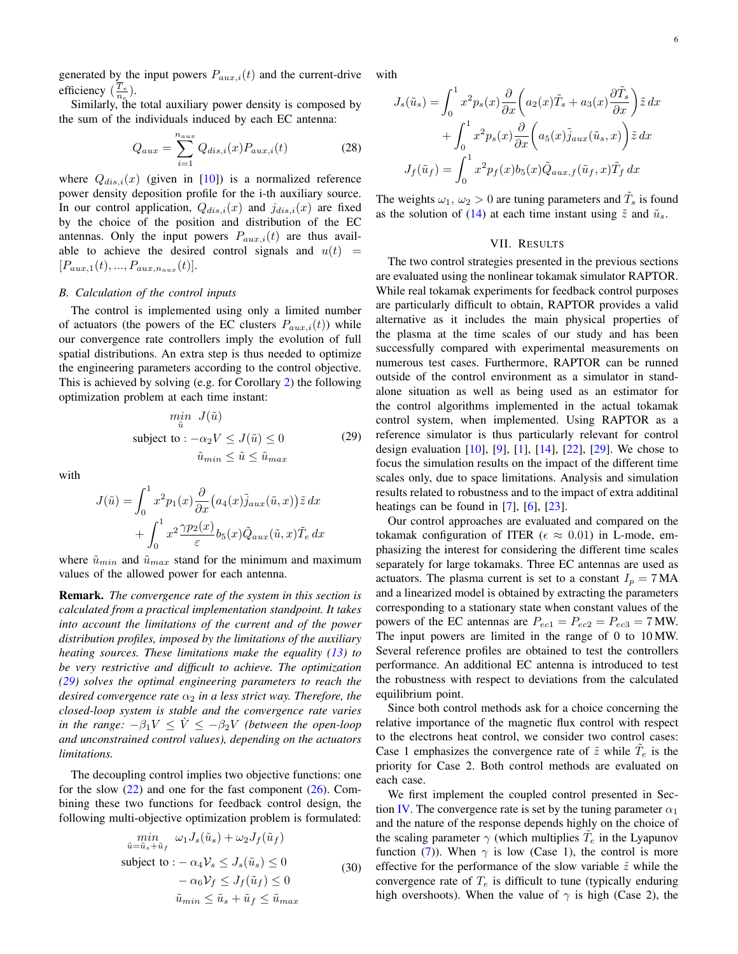generated by the input powers  $P_{aux,i}(t)$  and the current-drive efficiency  $(\frac{T_e}{n_e})$ .

Similarly, the total auxiliary power density is composed by the sum of the individuals induced by each EC antenna:

$$
Q_{aux} = \sum_{i=1}^{n_{aux}} Q_{dis,i}(x) P_{aux,i}(t)
$$
\n(28)

where  $Q_{dis,i}(x)$  (given in [\[10\]](#page-7-27)) is a normalized reference power density deposition profile for the i-th auxiliary source. In our control application,  $Q_{dis,i}(x)$  and  $j_{dis,i}(x)$  are fixed by the choice of the position and distribution of the EC antennas. Only the input powers  $P_{aux,i}(t)$  are thus available to achieve the desired control signals and  $u(t)$  =  $[P_{aux,1}(t),...,P_{aux,n_{aux}}(t)].$ 

# *B. Calculation of the control inputs*

The control is implemented using only a limited number of actuators (the powers of the EC clusters  $P_{aux,i}(t)$ ) while our convergence rate controllers imply the evolution of full spatial distributions. An extra step is thus needed to optimize the engineering parameters according to the control objective. This is achieved by solving (e.g. for Corollary [2\)](#page-3-8) the following optimization problem at each time instant:

$$
\min_{\tilde{u}} J(\tilde{u})
$$
\nsubject to:  $-\alpha_2 V \leq J(\tilde{u}) \leq 0$  (29)\n
$$
\tilde{u}_{min} \leq \tilde{u} \leq \tilde{u}_{max}
$$

<span id="page-5-1"></span>with

$$
J(\tilde{u}) = \int_0^1 x^2 p_1(x) \frac{\partial}{\partial x} (a_4(x) \tilde{j}_{aux}(\tilde{u}, x)) \tilde{z} dx
$$

$$
+ \int_0^1 x^2 \frac{\gamma p_2(x)}{\varepsilon} b_5(x) \tilde{Q}_{aux}(\tilde{u}, x) \tilde{T}_e dx
$$

where  $\tilde{u}_{min}$  and  $\tilde{u}_{max}$  stand for the minimum and maximum values of the allowed power for each antenna.

Remark. *The convergence rate of the system in this section is calculated from a practical implementation standpoint. It takes into account the limitations of the current and of the power distribution profiles, imposed by the limitations of the auxiliary heating sources. These limitations make the equality [\(13\)](#page-3-2) to be very restrictive and difficult to achieve. The optimization [\(29\)](#page-5-1) solves the optimal engineering parameters to reach the desired convergence rate*  $\alpha_2$  *in a less strict way. Therefore, the closed-loop system is stable and the convergence rate varies in the range:*  $-\beta_1 V \leq V \leq -\beta_2 V$  *(between the open-loop and unconstrained control values), depending on the actuators limitations.*

The decoupling control implies two objective functions: one for the slow  $(22)$  and one for the fast component  $(26)$ . Combining these two functions for feedback control design, the following multi-objective optimization problem is formulated:

$$
\min_{\tilde{u}=\tilde{u}_s+\tilde{u}_f} \omega_1 J_s(\tilde{u}_s) + \omega_2 J_f(\tilde{u}_f)
$$
\nsubject to: 
$$
-\alpha_4 \mathcal{V}_s \leq J_s(\tilde{u}_s) \leq 0
$$
\n
$$
-\alpha_6 \mathcal{V}_f \leq J_f(\tilde{u}_f) \leq 0
$$
\n
$$
\tilde{u}_{min} \leq \tilde{u}_s + \tilde{u}_f \leq \tilde{u}_{max}
$$
\n(30)

with

$$
J_s(\tilde{u}_s) = \int_0^1 x^2 p_s(x) \frac{\partial}{\partial x} \left( a_2(x) \tilde{T}_s + a_3(x) \frac{\partial \tilde{T}_s}{\partial x} \right) \tilde{z} dx
$$
  
+ 
$$
\int_0^1 x^2 p_s(x) \frac{\partial}{\partial x} \left( a_5(x) \tilde{j}_{aux}(\tilde{u}_s, x) \right) \tilde{z} dx
$$
  

$$
J_f(\tilde{u}_f) = \int_0^1 x^2 p_f(x) b_5(x) \tilde{Q}_{aux,f}(\tilde{u}_f, x) \tilde{T}_f dx
$$

The weights  $\omega_1, \omega_2 > 0$  are tuning parameters and  $\tilde{T}_s$  is found as the solution of [\(14\)](#page-3-3) at each time instant using  $\tilde{z}$  and  $\tilde{u}_s$ .

## VII. RESULTS

<span id="page-5-0"></span>The two control strategies presented in the previous sections are evaluated using the nonlinear tokamak simulator RAPTOR. While real tokamak experiments for feedback control purposes are particularly difficult to obtain, RAPTOR provides a valid alternative as it includes the main physical properties of the plasma at the time scales of our study and has been successfully compared with experimental measurements on numerous test cases. Furthermore, RAPTOR can be runned outside of the control environment as a simulator in standalone situation as well as being used as an estimator for the control algorithms implemented in the actual tokamak control system, when implemented. Using RAPTOR as a reference simulator is thus particularly relevant for control design evaluation  $[10]$ ,  $[9]$ ,  $[1]$ ,  $[14]$ ,  $[22]$ ,  $[29]$ . We chose to focus the simulation results on the impact of the different time scales only, due to space limitations. Analysis and simulation results related to robustness and to the impact of extra additinal heatings can be found in  $[7]$ ,  $[6]$ ,  $[23]$ .

Our control approaches are evaluated and compared on the tokamak configuration of ITER ( $\epsilon \approx 0.01$ ) in L-mode, emphasizing the interest for considering the different time scales separately for large tokamaks. Three EC antennas are used as actuators. The plasma current is set to a constant  $I_p = 7 \text{ MA}$ and a linearized model is obtained by extracting the parameters corresponding to a stationary state when constant values of the powers of the EC antennas are  $P_{ec1} = P_{ec2} = P_{ec3} = 7$  MW. The input powers are limited in the range of 0 to 10 MW. Several reference profiles are obtained to test the controllers performance. An additional EC antenna is introduced to test the robustness with respect to deviations from the calculated equilibrium point.

Since both control methods ask for a choice concerning the relative importance of the magnetic flux control with respect to the electrons heat control, we consider two control cases: Case 1 emphasizes the convergence rate of  $\tilde{z}$  while  $\tilde{T}_e$  is the priority for Case 2. Both control methods are evaluated on each case.

We first implement the coupled control presented in Sec-tion [IV.](#page-2-0) The convergence rate is set by the tuning parameter  $\alpha_1$ and the nature of the response depends highly on the choice of the scaling parameter  $\gamma$  (which multiplies  $\tilde{T}_e$  in the Lyapunov function [\(7\)](#page-2-1)). When  $\gamma$  is low (Case 1), the control is more effective for the performance of the slow variable  $\tilde{z}$  while the convergence rate of  $T_e$  is difficult to tune (typically enduring high overshoots). When the value of  $\gamma$  is high (Case 2), the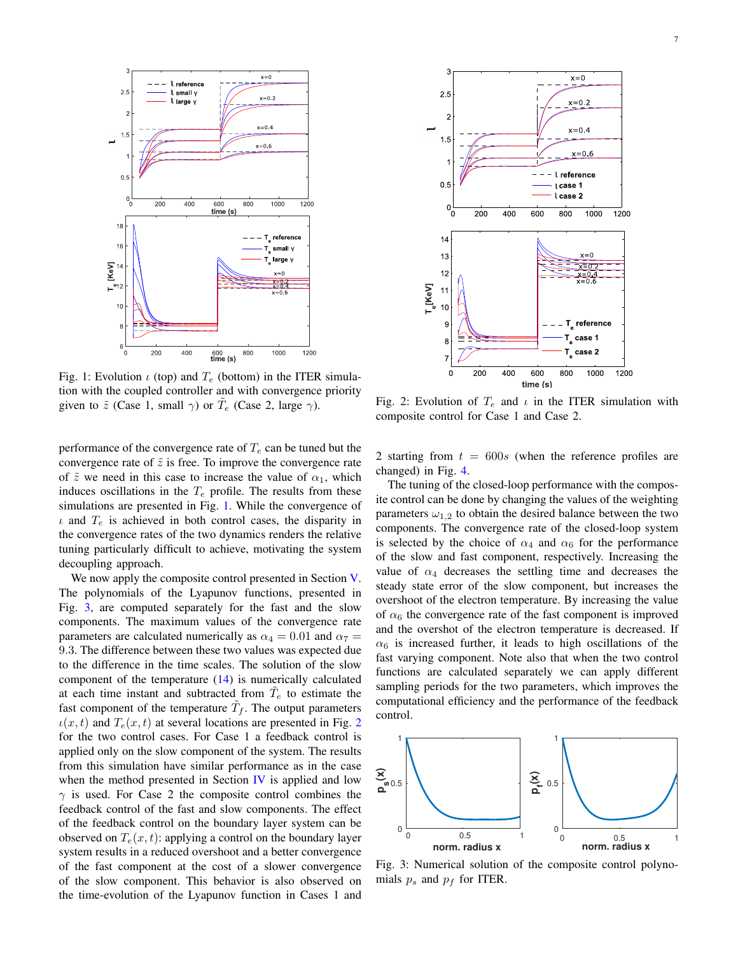<span id="page-6-0"></span>

Fig. 1: Evolution  $\iota$  (top) and  $T_e$  (bottom) in the ITER simulation with the coupled controller and with convergence priority given to  $\tilde{z}$  (Case 1, small  $\gamma$ ) or  $\tilde{T}_e$  (Case 2, large  $\gamma$ ).

performance of the convergence rate of  $T_e$  can be tuned but the convergence rate of  $\tilde{z}$  is free. To improve the convergence rate of  $\tilde{z}$  we need in this case to increase the value of  $\alpha_1$ , which induces oscillations in the  $T_e$  profile. The results from these simulations are presented in Fig. [1.](#page-6-0) While the convergence of  $\iota$  and  $T_e$  is achieved in both control cases, the disparity in the convergence rates of the two dynamics renders the relative tuning particularly difficult to achieve, motivating the system decoupling approach.

We now apply the composite control presented in Section [V.](#page-3-0) The polynomials of the Lyapunov functions, presented in Fig. [3,](#page-6-1) are computed separately for the fast and the slow components. The maximum values of the convergence rate parameters are calculated numerically as  $\alpha_4 = 0.01$  and  $\alpha_7 =$ 9.3. The difference between these two values was expected due to the difference in the time scales. The solution of the slow component of the temperature  $(14)$  is numerically calculated at each time instant and subtracted from  $\tilde{T}_e$  to estimate the fast component of the temperature  $\tilde{T}_f$ . The output parameters  $u(x, t)$  and  $T_e(x, t)$  at several locations are presented in Fig. [2](#page-6-2) for the two control cases. For Case 1 a feedback control is applied only on the slow component of the system. The results from this simulation have similar performance as in the case when the method presented in Section [IV](#page-2-0) is applied and low  $\gamma$  is used. For Case 2 the composite control combines the feedback control of the fast and slow components. The effect of the feedback control on the boundary layer system can be observed on  $T_e(x, t)$ : applying a control on the boundary layer system results in a reduced overshoot and a better convergence of the fast component at the cost of a slower convergence of the slow component. This behavior is also observed on the time-evolution of the Lyapunov function in Cases 1 and

<span id="page-6-2"></span>

Fig. 2: Evolution of  $T_e$  and  $\iota$  in the ITER simulation with composite control for Case 1 and Case 2.

2 starting from  $t = 600s$  (when the reference profiles are changed) in Fig. [4.](#page-7-30)

The tuning of the closed-loop performance with the composite control can be done by changing the values of the weighting parameters  $\omega_{1,2}$  to obtain the desired balance between the two components. The convergence rate of the closed-loop system is selected by the choice of  $\alpha_4$  and  $\alpha_6$  for the performance of the slow and fast component, respectively. Increasing the value of  $\alpha_4$  decreases the settling time and decreases the steady state error of the slow component, but increases the overshoot of the electron temperature. By increasing the value of  $\alpha_6$  the convergence rate of the fast component is improved and the overshot of the electron temperature is decreased. If  $\alpha_6$  is increased further, it leads to high oscillations of the fast varying component. Note also that when the two control functions are calculated separately we can apply different sampling periods for the two parameters, which improves the computational efficiency and the performance of the feedback control.

<span id="page-6-1"></span>

Fig. 3: Numerical solution of the composite control polynomials  $p_s$  and  $p_f$  for ITER.